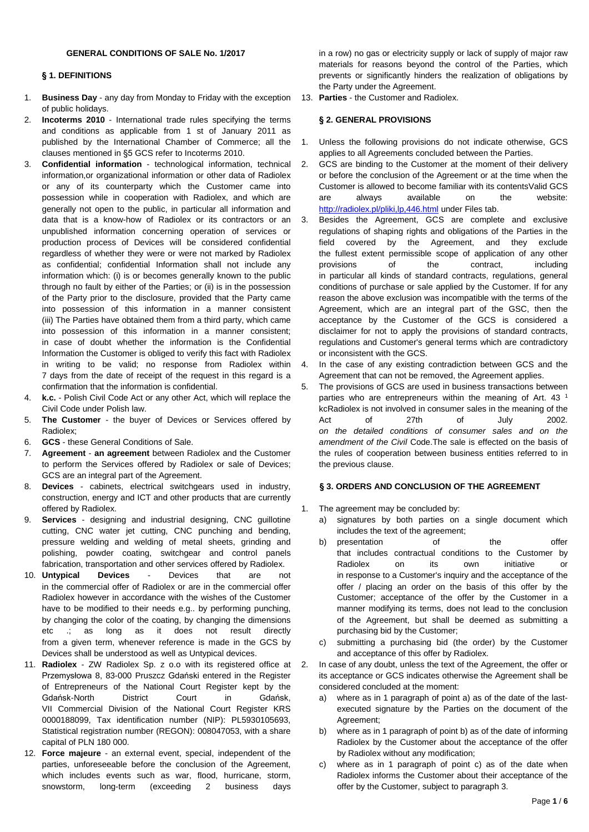#### **§ 1. DEFINITIONS**

- 1. **Business Day** any day from Monday to Friday with the exception of public holidays.
- 2. **Incoterms 2010** International trade rules specifying the terms and conditions as applicable from 1 st of January 2011 as published by the International Chamber of Commerce; all the clauses mentioned in §5 GCS refer to Incoterms 2010.
- 3. **Confidential information** technological information, technical information,or organizational information or other data of Radiolex or any of its counterparty which the Customer came into possession while in cooperation with Radiolex, and which are generally not open to the public, in particular all information and data that is a know-how of Radiolex or its contractors or an unpublished information concerning operation of services or production process of Devices will be considered confidential regardless of whether they were or were not marked by Radiolex as confidential; confidential Information shall not include any information which: (i) is or becomes generally known to the public through no fault by either of the Parties; or (ii) is in the possession of the Party prior to the disclosure, provided that the Party came into possession of this information in a manner consistent (iii) The Parties have obtained them from a third party, which came into possession of this information in a manner consistent; in case of doubt whether the information is the Confidential Information the Customer is obliged to verify this fact with Radiolex in writing to be valid; no response from Radiolex within 7 days from the date of receipt of the request in this regard is a confirmation that the information is confidential.
- 4. **k.c.** Polish Civil Code Act or any other Act, which will replace the Civil Code under Polish law.
- 5. **The Customer** the buyer of Devices or Services offered by Radiolex;
- 6. **GCS** these General Conditions of Sale.
- 7. **Agreement an agreement** between Radiolex and the Customer to perform the Services offered by Radiolex or sale of Devices; GCS are an integral part of the Agreement.
- 8. **Devices** cabinets, electrical switchgears used in industry, construction, energy and ICT and other products that are currently offered by Radiolex.
- 9. **Services** designing and industrial designing, CNC guillotine cutting, CNC water jet cutting, CNC punching and bending, pressure welding and welding of metal sheets, grinding and polishing, powder coating, switchgear and control panels fabrication, transportation and other services offered by Radiolex.
- 10. **Untypical Devices** Devices that are not in the commercial offer of Radiolex or are in the commercial offer Radiolex however in accordance with the wishes of the Customer have to be modified to their needs e.g.. by performing punching, by changing the color of the coating, by changing the dimensions etc .; as long as it does not result directly from a given term, whenever reference is made in the GCS by Devices shall be understood as well as Untypical devices.
- 11. **Radiolex** ZW Radiolex Sp. z o.o with its registered office at Przemysłowa 8, 83-000 Pruszcz Gdański entered in the Register of Entrepreneurs of the National Court Register kept by the Gdańsk-North District Court in Gdańsk, VII Commercial Division of the National Court Register KRS 0000188099, Tax identification number (NIP): PL5930105693, Statistical registration number (REGON): 008047053, with a share capital of PLN 180 000.
- 12. **Force majeure** an external event, special, independent of the parties, unforeseeable before the conclusion of the Agreement, which includes events such as war, flood, hurricane, storm, snowstorm, long-term (exceeding 2 business days

in a row) no gas or electricity supply or lack of supply of major raw materials for reasons beyond the control of the Parties, which prevents or significantly hinders the realization of obligations by the Party under the Agreement.

13. **Parties** - the Customer and Radiolex.

# **§ 2. GENERAL PROVISIONS**

- 1. Unless the following provisions do not indicate otherwise, GCS applies to all Agreements concluded between the Parties.
- 2. GCS are binding to the Customer at the moment of their delivery or before the conclusion of the Agreement or at the time when the Customer is allowed to become familiar with its contentsValid GCS are always available on the website: <http://radiolex.pl/pliki,lp,446.html> under Files tab.
- 3. Besides the Agreement, GCS are complete and exclusive regulations of shaping rights and obligations of the Parties in the field covered by the Agreement, and they exclude the fullest extent permissible scope of application of any other provisions of the contract, including in particular all kinds of standard contracts, regulations, general conditions of purchase or sale applied by the Customer. If for any reason the above exclusion was incompatible with the terms of the Agreement, which are an integral part of the GSC, then the acceptance by the Customer of the GCS is considered a disclaimer for not to apply the provisions of standard contracts, regulations and Customer's general terms which are contradictory or inconsistent with the GCS.
- 4. In the case of any existing contradiction between GCS and the Agreement that can not be removed, the Agreement applies.
- 5. The provisions of GCS are used in business transactions between parties who are entrepreneurs within the meaning of Art. 43<sup>1</sup> kcRadiolex is not involved in consumer sales in the meaning of the Act of 27th of July 2002. *on the detailed conditions of consumer sales and on the amendment of the Civil* Code.The sale is effected on the basis of the rules of cooperation between business entities referred to in the previous clause.

# **§ 3. ORDERS AND CONCLUSION OF THE AGREEMENT**

- 1. The agreement may be concluded by:
	- a) signatures by both parties on a single document which includes the text of the agreement;
	- b) presentation of the offer that includes contractual conditions to the Customer by Radiolex on its own initiative or in response to a Customer's inquiry and the acceptance of the offer / placing an order on the basis of this offer by the Customer; acceptance of the offer by the Customer in a manner modifying its terms, does not lead to the conclusion of the Agreement, but shall be deemed as submitting a purchasing bid by the Customer;
	- c) submitting a purchasing bid (the order) by the Customer and acceptance of this offer by Radiolex.
- In case of any doubt, unless the text of the Agreement, the offer or its acceptance or GCS indicates otherwise the Agreement shall be considered concluded at the moment:
	- a) where as in 1 paragraph of point a) as of the date of the lastexecuted signature by the Parties on the document of the Agreement;
	- b) where as in 1 paragraph of point b) as of the date of informing Radiolex by the Customer about the acceptance of the offer by Radiolex without any modification;
	- c) where as in 1 paragraph of point c) as of the date when Radiolex informs the Customer about their acceptance of the offer by the Customer, subject to paragraph 3.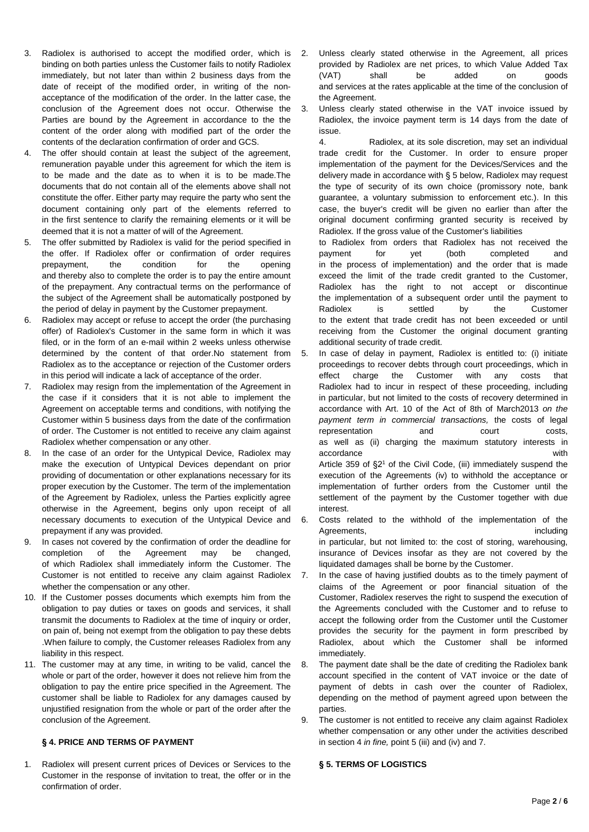- 3. Radiolex is authorised to accept the modified order, which is binding on both parties unless the Customer fails to notify Radiolex immediately, but not later than within 2 business days from the date of receipt of the modified order, in writing of the nonacceptance of the modification of the order. In the latter case, the conclusion of the Agreement does not occur. Otherwise the Parties are bound by the Agreement in accordance to the the content of the order along with modified part of the order the contents of the declaration confirmation of order and GCS.
- The offer should contain at least the subject of the agreement, remuneration payable under this agreement for which the item is to be made and the date as to when it is to be made.The documents that do not contain all of the elements above shall not constitute the offer. Either party may require the party who sent the document containing only part of the elements referred to in the first sentence to clarify the remaining elements or it will be deemed that it is not a matter of will of the Agreement.
- 5. The offer submitted by Radiolex is valid for the period specified in the offer. If Radiolex offer or confirmation of order requires prepayment, the condition for the opening and thereby also to complete the order is to pay the entire amount of the prepayment. Any contractual terms on the performance of the subject of the Agreement shall be automatically postponed by the period of delay in payment by the Customer prepayment.
- 6. Radiolex may accept or refuse to accept the order (the purchasing offer) of Radiolex's Customer in the same form in which it was filed, or in the form of an e-mail within 2 weeks unless otherwise determined by the content of that order.No statement from Radiolex as to the acceptance or rejection of the Customer orders in this period will indicate a lack of acceptance of the order.
- 7. Radiolex may resign from the implementation of the Agreement in the case if it considers that it is not able to implement the Agreement on acceptable terms and conditions, with notifying the Customer within 5 business days from the date of the confirmation of order. The Customer is not entitled to receive any claim against Radiolex whether compensation or any other.
- 8. In the case of an order for the Untypical Device, Radiolex may make the execution of Untypical Devices dependant on prior providing of documentation or other explanations necessary for its proper execution by the Customer. The term of the implementation of the Agreement by Radiolex, unless the Parties explicitly agree otherwise in the Agreement, begins only upon receipt of all necessary documents to execution of the Untypical Device and prepayment if any was provided.
- 9. In cases not covered by the confirmation of order the deadline for completion of the Agreement may be changed, of which Radiolex shall immediately inform the Customer. The Customer is not entitled to receive any claim against Radiolex whether the compensation or any other.
- 10. If the Customer posses documents which exempts him from the obligation to pay duties or taxes on goods and services, it shall transmit the documents to Radiolex at the time of inquiry or order, on pain of, being not exempt from the obligation to pay these debts .When failure to comply, the Customer releases Radiolex from any liability in this respect.
- 11. The customer may at any time, in writing to be valid, cancel the whole or part of the order, however it does not relieve him from the obligation to pay the entire price specified in the Agreement. The customer shall be liable to Radiolex for any damages caused by unjustified resignation from the whole or part of the order after the conclusion of the Agreement.

# **§ 4. PRICE AND TERMS OF PAYMENT**

1. Radiolex will present current prices of Devices or Services to the Customer in the response of invitation to treat, the offer or in the confirmation of order.

- Unless clearly stated otherwise in the Agreement, all prices provided by Radiolex are net prices, to which Value Added Tax (VAT) shall be added on goods and services at the rates applicable at the time of the conclusion of the Agreement.
- 3. Unless clearly stated otherwise in the VAT invoice issued by Radiolex, the invoice payment term is 14 days from the date of issue.

4. Radiolex, at its sole discretion, may set an individual trade credit for the Customer. In order to ensure proper implementation of the payment for the Devices/Services and the delivery made in accordance with § 5 below, Radiolex may request the type of security of its own choice (promissory note, bank guarantee, a voluntary submission to enforcement etc.). In this case, the buyer's credit will be given no earlier than after the original document confirming granted security is received by Radiolex. If the gross value of the Customer's liabilities

to Radiolex from orders that Radiolex has not received the payment for yet (both completed and in the process of implementation) and the order that is made exceed the limit of the trade credit granted to the Customer, Radiolex has the right to not accept or discontinue the implementation of a subsequent order until the payment to Radiolex is settled by the Customer to the extent that trade credit has not been exceeded or until receiving from the Customer the original document granting additional security of trade credit.

- 5. In case of delay in payment, Radiolex is entitled to: (i) initiate proceedings to recover debts through court proceedings, which in effect charge the Customer with any costs that Radiolex had to incur in respect of these proceeding, including in particular, but not limited to the costs of recovery determined in accordance with Art. 10 of the Act of 8th of March2013 *on the payment term in commercial transactions,* the costs of legal representation and court costs, as well as (ii) charging the maximum statutory interests in accordance with Article 359 of §2<sup>1</sup> of the Civil Code, (iii) immediately suspend the execution of the Agreements (iv) to withhold the acceptance or implementation of further orders from the Customer until the settlement of the payment by the Customer together with due interest.
- 6. Costs related to the withhold of the implementation of the Agreements, including a state of the state of the state of the state of the state of the state of the state of the state of the state of the state of the state of the state of the state of the state of the state of the sta in particular, but not limited to: the cost of storing, warehousing, insurance of Devices insofar as they are not covered by the liquidated damages shall be borne by the Customer.
- 7. In the case of having justified doubts as to the timely payment of claims of the Agreement or poor financial situation of the Customer, Radiolex reserves the right to suspend the execution of the Agreements concluded with the Customer and to refuse to accept the following order from the Customer until the Customer provides the security for the payment in form prescribed by Radiolex, about which the Customer shall be informed immediately.
- 8. The payment date shall be the date of crediting the Radiolex bank account specified in the content of VAT invoice or the date of payment of debts in cash over the counter of Radiolex, depending on the method of payment agreed upon between the parties.
- 9. The customer is not entitled to receive any claim against Radiolex whether compensation or any other under the activities described in section 4 *in fine,* point 5 (iii) and (iv) and 7.

# **§ 5. TERMS OF LOGISTICS**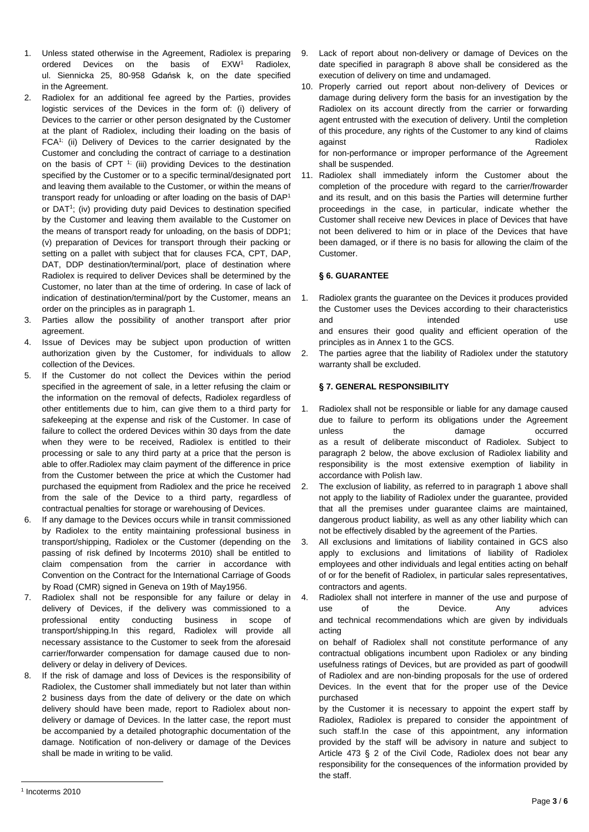- 1. Unless stated otherwise in the Agreement, Radiolex is preparing ordered Devices on the basis of EXW<sup>1</sup> Radiolex, ul. Siennicka 25, 80-958 Gdańsk k, on the date specified in the Agreement.
- 2. Radiolex for an additional fee agreed by the Parties, provides logistic services of the Devices in the form of: (i) delivery of Devices to the carrier or other person designated by the Customer at the plant of Radiolex, including their loading on the basis of FCA1; (ii) Delivery of Devices to the carrier designated by the Customer and concluding the contract of carriage to a destination on the basis of CPT  $<sup>1</sup>$ ; (iii) providing Devices to the destination</sup> specified by the Customer or to a specific terminal/designated port and leaving them available to the Customer, or within the means of transport ready for unloading or after loading on the basis of DAP<sup>1</sup> or DAT<sup>1</sup>; (iv) providing duty paid Devices to destination specified by the Customer and leaving them available to the Customer on the means of transport ready for unloading, on the basis of DDP1; (v) preparation of Devices for transport through their packing or setting on a pallet with subject that for clauses FCA, CPT, DAP, DAT, DDP destination/terminal/port, place of destination where Radiolex is required to deliver Devices shall be determined by the Customer, no later than at the time of ordering. In case of lack of indication of destination/terminal/port by the Customer, means an order on the principles as in paragraph 1.
- 3. Parties allow the possibility of another transport after prior agreement.
- 4. Issue of Devices may be subject upon production of written authorization given by the Customer, for individuals to allow collection of the Devices.
- 5. If the Customer do not collect the Devices within the period specified in the agreement of sale, in a letter refusing the claim or the information on the removal of defects, Radiolex regardless of other entitlements due to him, can give them to a third party for safekeeping at the expense and risk of the Customer. In case of failure to collect the ordered Devices within 30 days from the date when they were to be received, Radiolex is entitled to their processing or sale to any third party at a price that the person is able to offer.Radiolex may claim payment of the difference in price from the Customer between the price at which the Customer had purchased the equipment from Radiolex and the price he received from the sale of the Device to a third party, regardless of contractual penalties for storage or warehousing of Devices.
- 6. If any damage to the Devices occurs while in transit commissioned by Radiolex to the entity maintaining professional business in transport/shipping, Radiolex or the Customer (depending on the passing of risk defined by Incoterms 2010) shall be entitled to claim compensation from the carrier in accordance with Convention on the Contract for the International Carriage of Goods by Road (CMR) signed in Geneva on 19th of May1956.
- 7. Radiolex shall not be responsible for any failure or delay in delivery of Devices, if the delivery was commissioned to a professional entity conducting business in scope of transport/shipping.In this regard, Radiolex will provide all necessary assistance to the Customer to seek from the aforesaid carrier/forwarder compensation for damage caused due to nondelivery or delay in delivery of Devices.
- 8. If the risk of damage and loss of Devices is the responsibility of Radiolex, the Customer shall immediately but not later than within 2 business days from the date of delivery or the date on which delivery should have been made, report to Radiolex about nondelivery or damage of Devices. In the latter case, the report must be accompanied by a detailed photographic documentation of the damage. Notification of non-delivery or damage of the Devices shall be made in writing to be valid.
- 9. Lack of report about non-delivery or damage of Devices on the date specified in paragraph 8 above shall be considered as the execution of delivery on time and undamaged.
- 10. Properly carried out report about non-delivery of Devices or damage during delivery form the basis for an investigation by the Radiolex on its account directly from the carrier or forwarding agent entrusted with the execution of delivery. Until the completion of this procedure, any rights of the Customer to any kind of claims against **Radiolex**

for non-performance or improper performance of the Agreement shall be suspended.

11. Radiolex shall immediately inform the Customer about the completion of the procedure with regard to the carrier/frowarder and its result, and on this basis the Parties will determine further proceedings in the case, in particular, indicate whether the Customer shall receive new Devices in place of Devices that have not been delivered to him or in place of the Devices that have been damaged, or if there is no basis for allowing the claim of the Customer.

# **§ 6. GUARANTEE**

- 1. Radiolex grants the guarantee on the Devices it produces provided the Customer uses the Devices according to their characteristics and intended use and ensures their good quality and efficient operation of the principles as in Annex 1 to the GCS.
- 2. The parties agree that the liability of Radiolex under the statutory warranty shall be excluded.

# **§ 7. GENERAL RESPONSIBILITY**

- 1. Radiolex shall not be responsible or liable for any damage caused due to failure to perform its obligations under the Agreement unless the damage occurred as a result of deliberate misconduct of Radiolex. Subject to paragraph 2 below, the above exclusion of Radiolex liability and responsibility is the most extensive exemption of liability in accordance with Polish law.
- 2. The exclusion of liability, as referred to in paragraph 1 above shall not apply to the liability of Radiolex under the guarantee, provided that all the premises under guarantee claims are maintained, dangerous product liability, as well as any other liability which can not be effectively disabled by the agreement of the Parties.
- 3. All exclusions and limitations of liability contained in GCS also apply to exclusions and limitations of liability of Radiolex employees and other individuals and legal entities acting on behalf of or for the benefit of Radiolex, in particular sales representatives, contractors and agents.
- 4. Radiolex shall not interfere in manner of the use and purpose of use of the Device. Any advices and technical recommendations which are given by individuals acting

on behalf of Radiolex shall not constitute performance of any contractual obligations incumbent upon Radiolex or any binding usefulness ratings of Devices, but are provided as part of goodwill of Radiolex and are non-binding proposals for the use of ordered Devices. In the event that for the proper use of the Device purchased

by the Customer it is necessary to appoint the expert staff by Radiolex, Radiolex is prepared to consider the appointment of such staff.In the case of this appointment, any information provided by the staff will be advisory in nature and subject to Article 473 § 2 of the Civil Code, Radiolex does not bear any responsibility for the consequences of the information provided by the staff.

 $\overline{a}$ 

<sup>1</sup> Incoterms 2010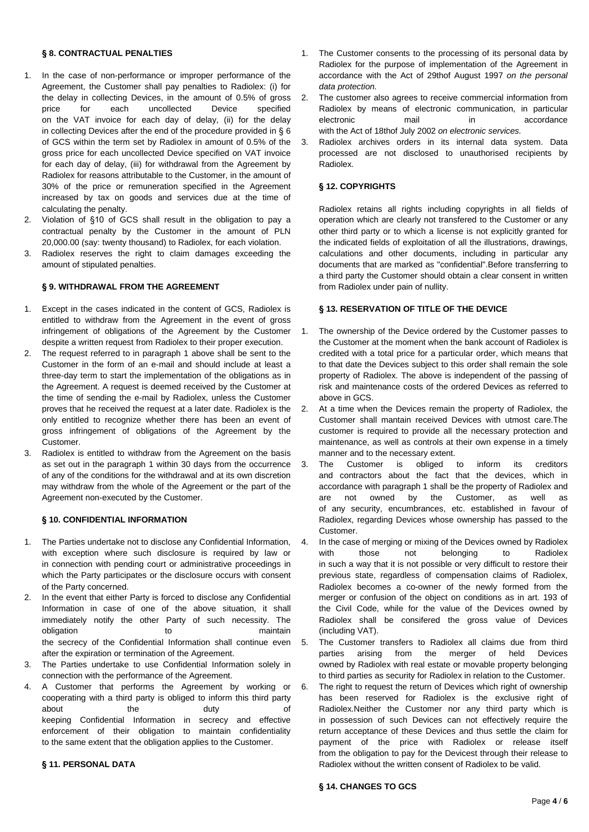#### **§ 8. CONTRACTUAL PENALTIES**

- 1. In the case of non-performance or improper performance of the Agreement, the Customer shall pay penalties to Radiolex: (i) for the delay in collecting Devices, in the amount of 0.5% of gross price for each uncollected Device specified on the VAT invoice for each day of delay, (ii) for the delay in collecting Devices after the end of the procedure provided in § 6 of GCS within the term set by Radiolex in amount of 0.5% of the gross price for each uncollected Device specified on VAT invoice for each day of delay, (iii) for withdrawal from the Agreement by Radiolex for reasons attributable to the Customer, in the amount of 30% of the price or remuneration specified in the Agreement increased by tax on goods and services due at the time of calculating the penalty.
- 2. Violation of §10 of GCS shall result in the obligation to pay a contractual penalty by the Customer in the amount of PLN 20,000.00 (say: twenty thousand) to Radiolex, for each violation.
- 3. Radiolex reserves the right to claim damages exceeding the amount of stipulated penalties.

### **§ 9. WITHDRAWAL FROM THE AGREEMENT**

- 1. Except in the cases indicated in the content of GCS, Radiolex is entitled to withdraw from the Agreement in the event of gross infringement of obligations of the Agreement by the Customer despite a written request from Radiolex to their proper execution.
- 2. The request referred to in paragraph 1 above shall be sent to the Customer in the form of an e-mail and should include at least a three-day term to start the implementation of the obligations as in the Agreement. A request is deemed received by the Customer at the time of sending the e-mail by Radiolex, unless the Customer proves that he received the request at a later date. Radiolex is the only entitled to recognize whether there has been an event of gross infringement of obligations of the Agreement by the Customer.
- 3. Radiolex is entitled to withdraw from the Agreement on the basis as set out in the paragraph 1 within 30 days from the occurrence of any of the conditions for the withdrawal and at its own discretion may withdraw from the whole of the Agreement or the part of the Agreement non-executed by the Customer.

### **§ 10. CONFIDENTIAL INFORMATION**

- 1. The Parties undertake not to disclose any Confidential Information, with exception where such disclosure is required by law or in connection with pending court or administrative proceedings in which the Party participates or the disclosure occurs with consent of the Party concerned.
- 2. In the event that either Party is forced to disclose any Confidential Information in case of one of the above situation, it shall immediately notify the other Party of such necessity. The obligation to to maintain the secrecy of the Confidential Information shall continue even after the expiration or termination of the Agreement.
- 3. The Parties undertake to use Confidential Information solely in connection with the performance of the Agreement.
- 4. A Customer that performs the Agreement by working or cooperating with a third party is obliged to inform this third party about the duty of keeping Confidential Information in secrecy and effective enforcement of their obligation to maintain confidentiality to the same extent that the obligation applies to the Customer.

#### **§ 11. PERSONAL DATA**

- 1. The Customer consents to the processing of its personal data by Radiolex for the purpose of implementation of the Agreement in accordance with the Act of 29thof August 1997 *on the personal data protection.*
- 2. The customer also agrees to receive commercial information from Radiolex by means of electronic communication, in particular electronic mail in accordance with the Act of 18thof July 2002 *on electronic services.*
- 3. Radiolex archives orders in its internal data system. Data processed are not disclosed to unauthorised recipients by Radiolex.

#### **§ 12. COPYRIGHTS**

Radiolex retains all rights including copyrights in all fields of operation which are clearly not transfered to the Customer or any other third party or to which a license is not explicitly granted for the indicated fields of exploitation of all the illustrations, drawings, calculations and other documents, including in particular any documents that are marked as "confidential".Before transferring to a third party the Customer should obtain a clear consent in written from Radiolex under pain of nullity.

## **§ 13. RESERVATION OF TITLE OF THE DEVICE**

- 1. The ownership of the Device ordered by the Customer passes to the Customer at the moment when the bank account of Radiolex is credited with a total price for a particular order, which means that to that date the Devices subject to this order shall remain the sole property of Radiolex. The above is independent of the passing of risk and maintenance costs of the ordered Devices as referred to above in GCS.
- 2. At a time when the Devices remain the property of Radiolex, the Customer shall mantain received Devices with utmost care.The customer is required to provide all the necessary protection and maintenance, as well as controls at their own expense in a timely manner and to the necessary extent.
- 3. The Customer is obliged to inform its creditors and contractors about the fact that the devices, which in accordance with paragraph 1 shall be the property of Radiolex and are not owned by the Customer, as well as of any security, encumbrances, etc. established in favour of Radiolex, regarding Devices whose ownership has passed to the Customer.
- 4. In the case of merging or mixing of the Devices owned by Radiolex with those not belonging to Radiolex in such a way that it is not possible or very difficult to restore their previous state, regardless of compensation claims of Radiolex, Radiolex becomes a co-owner of the newly formed from the merger or confusion of the object on conditions as in art. 193 of the Civil Code, while for the value of the Devices owned by Radiolex shall be consifered the gross value of Devices (including VAT).
- 5. The Customer transfers to Radiolex all claims due from third parties arising from the merger of held Devices owned by Radiolex with real estate or movable property belonging to third parties as security for Radiolex in relation to the Customer.
- 6. The right to request the return of Devices which right of ownership has been reserved for Radiolex is the exclusive right of Radiolex.Neither the Customer nor any third party which is in possession of such Devices can not effectively require the return acceptance of these Devices and thus settle the claim for payment of the price with Radiolex or release itself from the obligation to pay for the Devicest through their release to Radiolex without the written consent of Radiolex to be valid.

#### **§ 14. CHANGES TO GCS**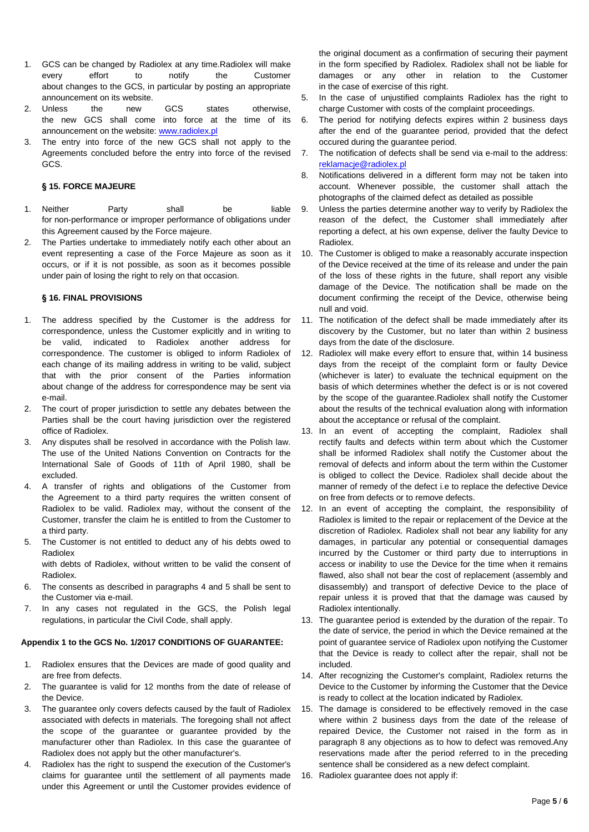- 1. GCS can be changed by Radiolex at any time.Radiolex will make every effort to notify the Customer about changes to the GCS, in particular by posting an appropriate announcement on its website.
- 2. Unless the new GCS states otherwise, the new GCS shall come into force at the time of its announcement on the website: [www.radiolex.pl](http://www.radiolex.pl/)
- 3. The entry into force of the new GCS shall not apply to the Agreements concluded before the entry into force of the revised GCS.

### **§ 15. FORCE MAJEURE**

- 1. Neither Party shall be liable for non-performance or improper performance of obligations under this Agreement caused by the Force majeure.
- 2. The Parties undertake to immediately notify each other about an event representing a case of the Force Majeure as soon as it occurs, or if it is not possible, as soon as it becomes possible under pain of losing the right to rely on that occasion.

## **§ 16. FINAL PROVISIONS**

- 1. The address specified by the Customer is the address for correspondence, unless the Customer explicitly and in writing to be valid, indicated to Radiolex another address for correspondence. The customer is obliged to inform Radiolex of each change of its mailing address in writing to be valid, subject that with the prior consent of the Parties information about change of the address for correspondence may be sent via e-mail.
- 2. The court of proper jurisdiction to settle any debates between the Parties shall be the court having jurisdiction over the registered office of Radiolex.
- 3. Any disputes shall be resolved in accordance with the Polish law. The use of the United Nations Convention on Contracts for the International Sale of Goods of 11th of April 1980, shall be excluded.
- 4. A transfer of rights and obligations of the Customer from the Agreement to a third party requires the written consent of Radiolex to be valid. Radiolex may, without the consent of the Customer, transfer the claim he is entitled to from the Customer to a third party.
- 5. The Customer is not entitled to deduct any of his debts owed to Radiolex

with debts of Radiolex, without written to be valid the consent of Radiolex.

- 6. The consents as described in paragraphs 4 and 5 shall be sent to the Customer via e-mail.
- 7. In any cases not regulated in the GCS, the Polish legal regulations, in particular the Civil Code, shall apply.

## **Appendix 1 to the GCS No. 1/2017 CONDITIONS OF GUARANTEE:**

- 1. Radiolex ensures that the Devices are made of good quality and are free from defects.
- 2. The guarantee is valid for 12 months from the date of release of the Device.
- 3. The guarantee only covers defects caused by the fault of Radiolex associated with defects in materials. The foregoing shall not affect the scope of the guarantee or guarantee provided by the manufacturer other than Radiolex. In this case the guarantee of Radiolex does not apply but the other manufacturer's.
- 4. Radiolex has the right to suspend the execution of the Customer's claims for guarantee until the settlement of all payments made under this Agreement or until the Customer provides evidence of

the original document as a confirmation of securing their payment in the form specified by Radiolex. Radiolex shall not be liable for damages or any other in relation to the Customer in the case of exercise of this right.

- 5. In the case of unjustified complaints Radiolex has the right to charge Customer with costs of the complaint proceedings.
- 6. The period for notifying defects expires within 2 business days after the end of the guarantee period, provided that the defect occured during the guarantee period.
- 7. The notification of defects shall be send via e-mail to the address: [reklamacje@radiolex.pl](mailto:reklamacje@radiolex.pl)
- 8. Notifications delivered in a different form may not be taken into account. Whenever possible, the customer shall attach the photographs of the claimed defect as detailed as possible
- 9. Unless the parties determine another way to verify by Radiolex the reason of the defect, the Customer shall immediately after reporting a defect, at his own expense, deliver the faulty Device to Radiolex.
- 10. The Customer is obliged to make a reasonably accurate inspection of the Device received at the time of its release and under the pain of the loss of these rights in the future, shall report any visible damage of the Device. The notification shall be made on the document confirming the receipt of the Device, otherwise being null and void.
- 11. The notification of the defect shall be made immediately after its discovery by the Customer, but no later than within 2 business days from the date of the disclosure.
- 12. Radiolex will make every effort to ensure that, within 14 business days from the receipt of the complaint form or faulty Device (whichever is later) to evaluate the technical equipment on the basis of which determines whether the defect is or is not covered by the scope of the guarantee.Radiolex shall notify the Customer about the results of the technical evaluation along with information about the acceptance or refusal of the complaint.
- 13. In an event of accepting the complaint, Radiolex shall rectify faults and defects within term about which the Customer shall be informed Radiolex shall notify the Customer about the removal of defects and inform about the term within the Customer is obliged to collect the Device. Radiolex shall decide about the manner of remedy of the defect i.e to replace the defective Device on free from defects or to remove defects.
- 12. In an event of accepting the complaint, the responsibility of Radiolex is limited to the repair or replacement of the Device at the discretion of Radiolex. Radiolex shall not bear any liability for any damages, in particular any potential or consequential damages incurred by the Customer or third party due to interruptions in access or inability to use the Device for the time when it remains flawed, also shall not bear the cost of replacement (assembly and disassembly) and transport of defective Device to the place of repair unless it is proved that that the damage was caused by Radiolex intentionally.
- 13. The guarantee period is extended by the duration of the repair. To the date of service, the period in which the Device remained at the point of guarantee service of Radiolex upon notifying the Customer that the Device is ready to collect after the repair, shall not be included.
- 14. After recognizing the Customer's complaint, Radiolex returns the Device to the Customer by informing the Customer that the Device is ready to collect at the location indicated by Radiolex.
- 15. The damage is considered to be effectively removed in the case where within 2 business days from the date of the release of repaired Device, the Customer not raised in the form as in paragraph 8 any objections as to how to defect was removed.Any reservations made after the period referred to in the preceding sentence shall be considered as a new defect complaint.
- 16. Radiolex guarantee does not apply if: